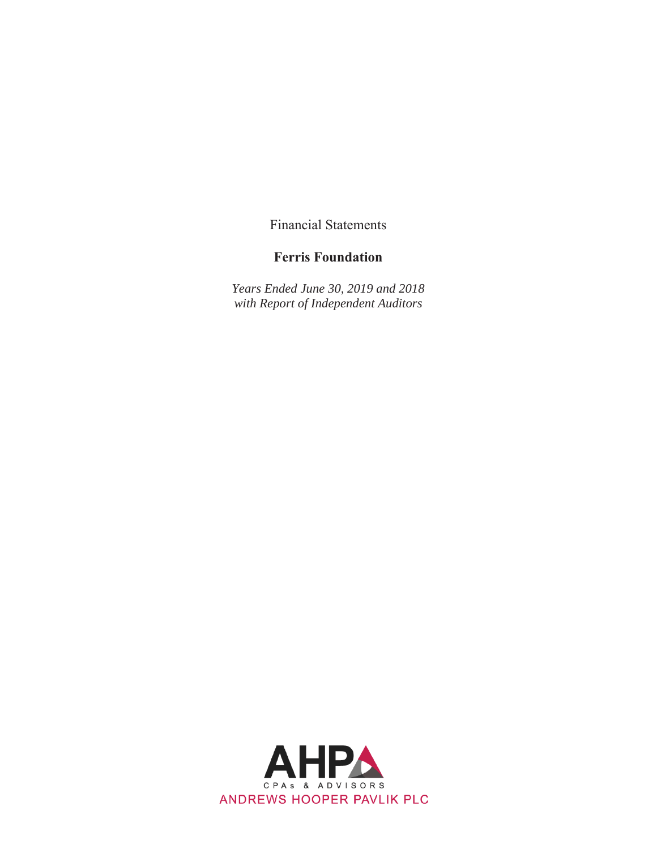Financial Statements

## **Ferris Foundation**

*Years Ended June 30, 2019 and 2018 with Report of Independent Auditors* 

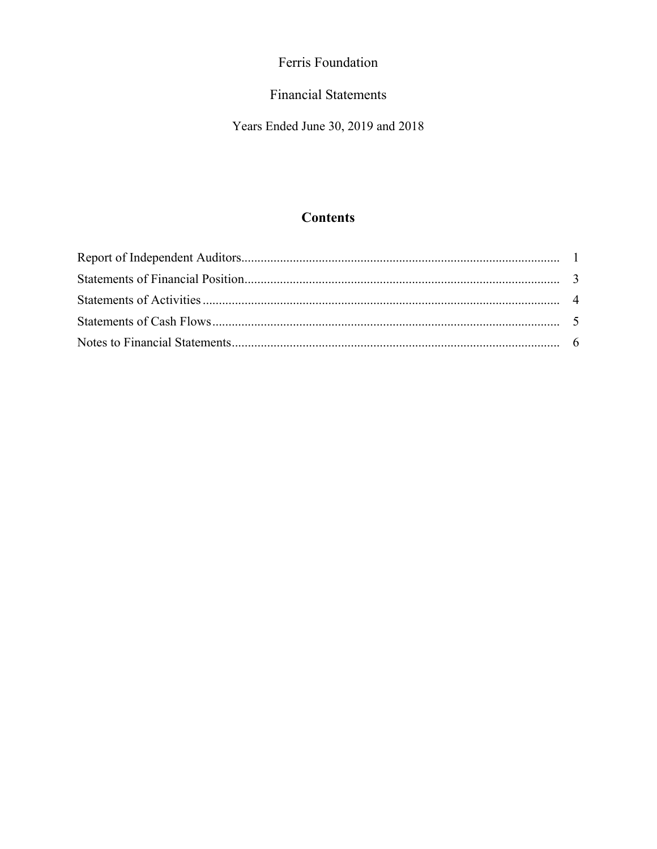## **Financial Statements**

Years Ended June 30, 2019 and 2018

# **Contents**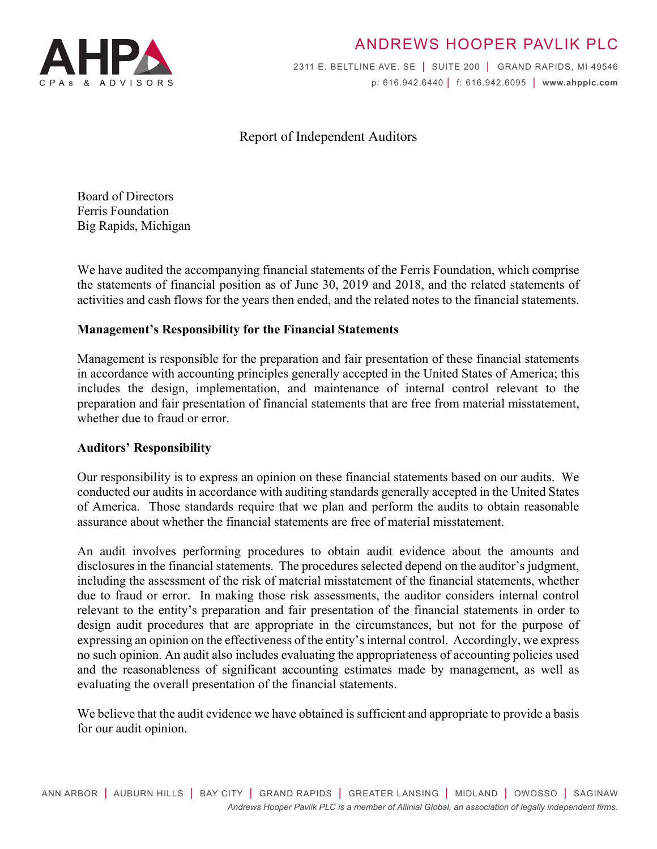

# ANDREWS HOOPER PAVLIK PLC

2311 E. BELTLINE AVE. SE | SUITE 200 | GRAND RAPIDS, MI 49546 p: 616.942.6440 | f: 616.942.6095 | **www.ahpplc.com**

## Report of Independent Auditors

Board of Directors Ferris Foundation Big Rapids, Michigan

We have audited the accompanying financial statements of the Ferris Foundation, which comprise the statements of financial position as of June 30, 2019 and 2018, and the related statements of activities and cash flows for the years then ended, and the related notes to the financial statements.

## **Management's Responsibility for the Financial Statements**

Management is responsible for the preparation and fair presentation of these financial statements in accordance with accounting principles generally accepted in the United States of America; this includes the design, implementation, and maintenance of internal control relevant to the preparation and fair presentation of financial statements that are free from material misstatement, whether due to fraud or error.

#### **Auditors' Responsibility**

Our responsibility is to express an opinion on these financial statements based on our audits. We conducted our audits in accordance with auditing standards generally accepted in the United States of America. Those standards require that we plan and perform the audits to obtain reasonable assurance about whether the financial statements are free of material misstatement.

An audit involves performing procedures to obtain audit evidence about the amounts and disclosures in the financial statements. The procedures selected depend on the auditor's judgment, including the assessment of the risk of material misstatement of the financial statements, whether due to fraud or error. In making those risk assessments, the auditor considers internal control relevant to the entity's preparation and fair presentation of the financial statements in order to design audit procedures that are appropriate in the circumstances, but not for the purpose of expressing an opinion on the effectiveness of the entity's internal control. Accordingly, we express no such opinion. An audit also includes evaluating the appropriateness of accounting policies used and the reasonableness of significant accounting estimates made by management, as well as evaluating the overall presentation of the financial statements.

We believe that the audit evidence we have obtained is sufficient and appropriate to provide a basis for our audit opinion.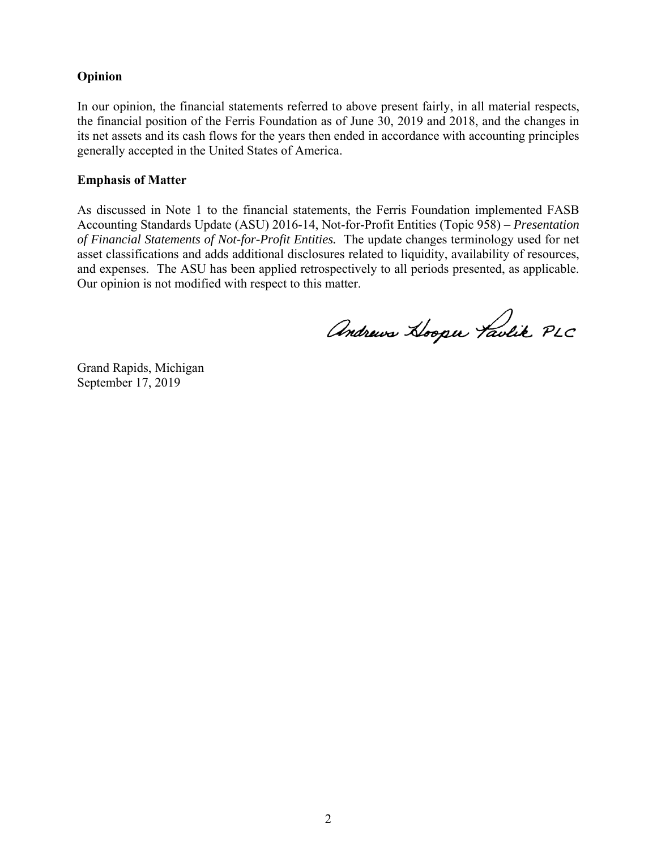## **Opinion**

In our opinion, the financial statements referred to above present fairly, in all material respects, the financial position of the Ferris Foundation as of June 30, 2019 and 2018, and the changes in its net assets and its cash flows for the years then ended in accordance with accounting principles generally accepted in the United States of America.

#### **Emphasis of Matter**

As discussed in Note 1 to the financial statements, the Ferris Foundation implemented FASB Accounting Standards Update (ASU) 2016-14, Not-for-Profit Entities (Topic 958) – *Presentation of Financial Statements of Not-for-Profit Entities.* The update changes terminology used for net asset classifications and adds additional disclosures related to liquidity, availability of resources, and expenses. The ASU has been applied retrospectively to all periods presented, as applicable. Our opinion is not modified with respect to this matter.

Andrews Hooper taulik PLC

Grand Rapids, Michigan September 17, 2019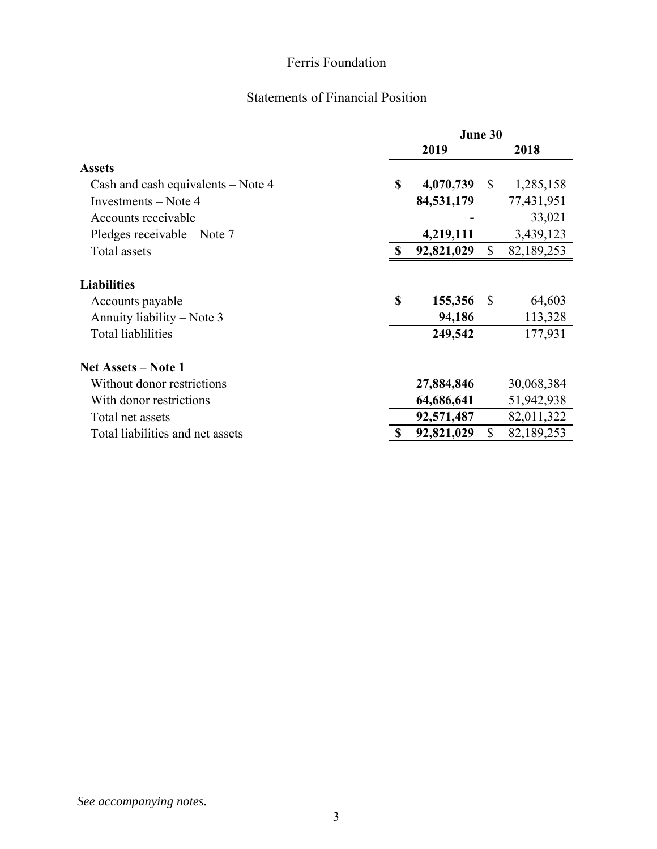# Statements of Financial Position

|                                    | June 30 |            |                           |            |
|------------------------------------|---------|------------|---------------------------|------------|
|                                    |         | 2019       |                           | 2018       |
| <b>Assets</b>                      |         |            |                           |            |
| Cash and cash equivalents – Note 4 | \$      | 4,070,739  | $\boldsymbol{\mathsf{S}}$ | 1,285,158  |
| Investments $-$ Note 4             |         | 84,531,179 |                           | 77,431,951 |
| Accounts receivable                |         |            |                           | 33,021     |
| Pledges receivable – Note 7        |         | 4,219,111  |                           | 3,439,123  |
| Total assets                       |         | 92,821,029 | \$                        | 82,189,253 |
| <b>Liabilities</b>                 |         |            |                           |            |
| Accounts payable                   | \$      | 155,356    | -S                        | 64,603     |
| Annuity liability – Note 3         |         | 94,186     |                           | 113,328    |
| <b>Total liablilities</b>          |         | 249,542    |                           | 177,931    |
| <b>Net Assets – Note 1</b>         |         |            |                           |            |
| Without donor restrictions         |         | 27,884,846 |                           | 30,068,384 |
| With donor restrictions            |         | 64,686,641 |                           | 51,942,938 |
| Total net assets                   |         | 92,571,487 |                           | 82,011,322 |
| Total liabilities and net assets   | \$      | 92,821,029 | \$                        | 82,189,253 |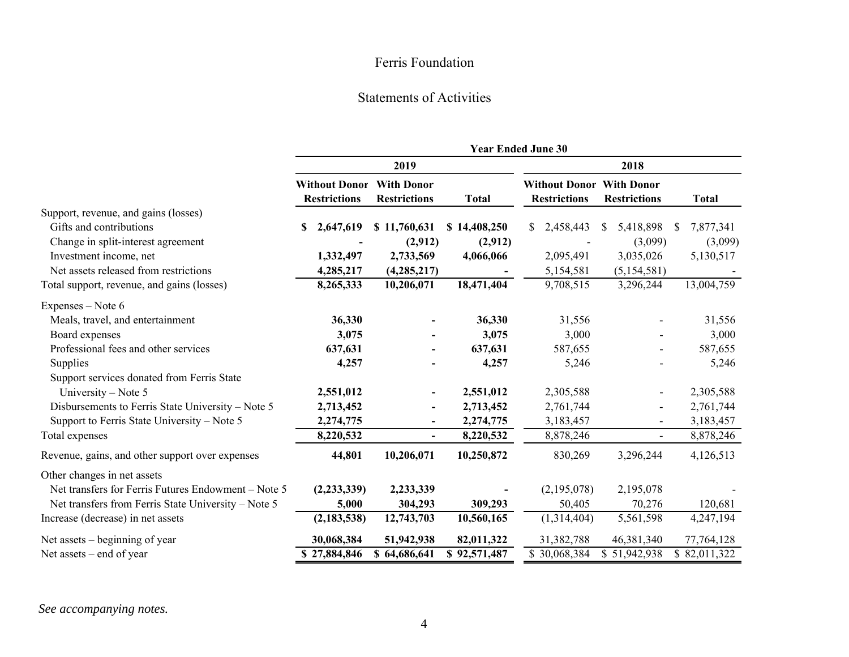#### Statements of Activities

|                                                     | <b>Year Ended June 30</b>                   |                                          |              |                                                        |                          |                |
|-----------------------------------------------------|---------------------------------------------|------------------------------------------|--------------|--------------------------------------------------------|--------------------------|----------------|
|                                                     |                                             | 2019                                     |              |                                                        |                          |                |
|                                                     | <b>Without Donor</b><br><b>Restrictions</b> | <b>With Donor</b><br><b>Restrictions</b> | <b>Total</b> | <b>Without Donor With Donor</b><br><b>Restrictions</b> | <b>Restrictions</b>      | <b>Total</b>   |
| Support, revenue, and gains (losses)                |                                             |                                          |              |                                                        |                          |                |
| Gifts and contributions                             | 2,647,619<br>S                              | \$11,760,631                             | \$14,408,250 | 2,458,443<br>S.                                        | 5,418,898<br>-S          | 7,877,341<br>S |
| Change in split-interest agreement                  |                                             | (2,912)                                  | (2,912)      |                                                        | (3,099)                  | (3,099)        |
| Investment income, net                              | 1,332,497                                   | 2,733,569                                | 4,066,066    | 2,095,491                                              | 3,035,026                | 5,130,517      |
| Net assets released from restrictions               | 4,285,217                                   | (4, 285, 217)                            |              | 5,154,581                                              | (5,154,581)              |                |
| Total support, revenue, and gains (losses)          | 8,265,333                                   | 10,206,071                               | 18,471,404   | 9,708,515                                              | 3,296,244                | 13,004,759     |
| Expenses – Note 6                                   |                                             |                                          |              |                                                        |                          |                |
| Meals, travel, and entertainment                    | 36,330                                      |                                          | 36,330       | 31,556                                                 |                          | 31,556         |
| Board expenses                                      | 3,075                                       |                                          | 3,075        | 3,000                                                  |                          | 3,000          |
| Professional fees and other services                | 637,631                                     |                                          | 637,631      | 587,655                                                |                          | 587,655        |
| Supplies                                            | 4,257                                       |                                          | 4,257        | 5,246                                                  |                          | 5,246          |
| Support services donated from Ferris State          |                                             |                                          |              |                                                        |                          |                |
| University - Note 5                                 | 2,551,012                                   |                                          | 2,551,012    | 2,305,588                                              |                          | 2,305,588      |
| Disbursements to Ferris State University - Note 5   | 2,713,452                                   |                                          | 2,713,452    | 2,761,744                                              |                          | 2,761,744      |
| Support to Ferris State University – Note 5         | 2,274,775                                   |                                          | 2,274,775    | 3,183,457                                              |                          | 3,183,457      |
| Total expenses                                      | 8,220,532                                   | $\overline{\phantom{a}}$                 | 8,220,532    | 8,878,246                                              | $\overline{\phantom{a}}$ | 8,878,246      |
| Revenue, gains, and other support over expenses     | 44,801                                      | 10,206,071                               | 10,250,872   | 830,269                                                | 3,296,244                | 4,126,513      |
| Other changes in net assets                         |                                             |                                          |              |                                                        |                          |                |
| Net transfers for Ferris Futures Endowment – Note 5 | (2, 233, 339)                               | 2,233,339                                |              | (2,195,078)                                            | 2,195,078                |                |
| Net transfers from Ferris State University – Note 5 | 5,000                                       | 304,293                                  | 309,293      | 50,405                                                 | 70,276                   | 120,681        |
| Increase (decrease) in net assets                   | (2, 183, 538)                               | 12,743,703                               | 10,560,165   | (1,314,404)                                            | 5,561,598                | 4,247,194      |
| Net assets – beginning of year                      | 30,068,384                                  | 51,942,938                               | 82,011,322   | 31,382,788                                             | 46,381,340               | 77,764,128     |
| Net assets – end of year                            | \$27,884,846                                | \$64,686,641                             | \$92,571,487 | \$30,068,384                                           | \$51,942,938             | \$82,011,322   |

*See accompanying notes.*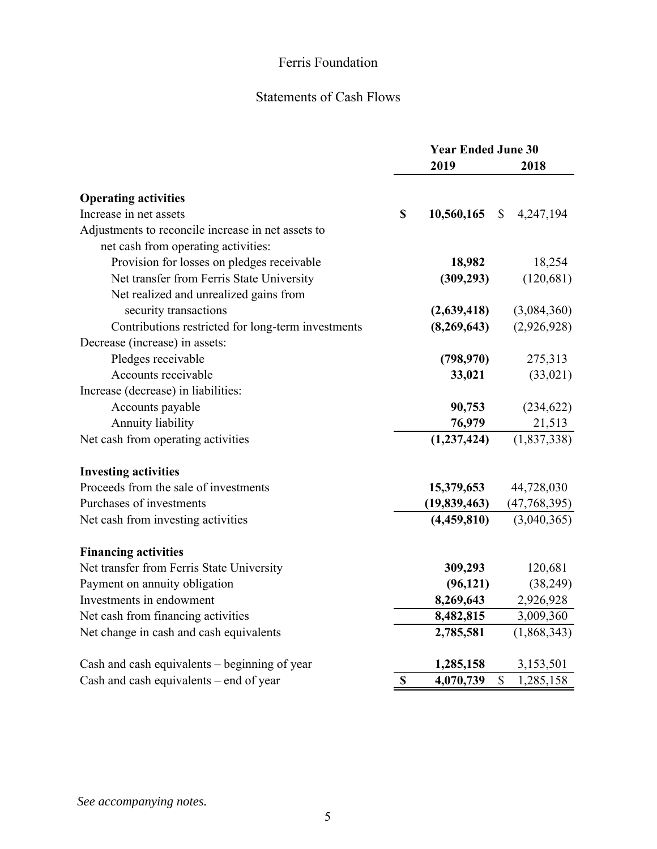# Statements of Cash Flows

|                                                    | <b>Year Ended June 30</b> |                |                            |
|----------------------------------------------------|---------------------------|----------------|----------------------------|
|                                                    |                           | 2019           | 2018                       |
| <b>Operating activities</b>                        |                           |                |                            |
| Increase in net assets                             | \$                        | 10,560,165     | $\mathcal{S}$<br>4,247,194 |
| Adjustments to reconcile increase in net assets to |                           |                |                            |
| net cash from operating activities:                |                           |                |                            |
| Provision for losses on pledges receivable         |                           | 18,982         | 18,254                     |
| Net transfer from Ferris State University          |                           | (309, 293)     | (120, 681)                 |
| Net realized and unrealized gains from             |                           |                |                            |
| security transactions                              |                           | (2,639,418)    | (3,084,360)                |
| Contributions restricted for long-term investments |                           | (8,269,643)    | (2,926,928)                |
| Decrease (increase) in assets:                     |                           |                |                            |
| Pledges receivable                                 |                           | (798, 970)     | 275,313                    |
| Accounts receivable                                |                           | 33,021         | (33,021)                   |
| Increase (decrease) in liabilities:                |                           |                |                            |
| Accounts payable                                   |                           | 90,753         | (234, 622)                 |
| Annuity liability                                  |                           | 76,979         | 21,513                     |
| Net cash from operating activities                 |                           | (1, 237, 424)  | (1,837,338)                |
| <b>Investing activities</b>                        |                           |                |                            |
| Proceeds from the sale of investments              |                           | 15,379,653     | 44,728,030                 |
| Purchases of investments                           |                           | (19, 839, 463) | (47, 768, 395)             |
| Net cash from investing activities                 |                           | (4,459,810)    | (3,040,365)                |
| <b>Financing activities</b>                        |                           |                |                            |
| Net transfer from Ferris State University          |                           | 309,293        | 120,681                    |
| Payment on annuity obligation                      |                           | (96, 121)      | (38,249)                   |
| Investments in endowment                           |                           | 8,269,643      | 2,926,928                  |
| Net cash from financing activities                 |                           | 8,482,815      | 3,009,360                  |
| Net change in cash and cash equivalents            |                           | 2,785,581      | (1,868,343)                |
| Cash and cash equivalents - beginning of year      |                           | 1,285,158      | 3,153,501                  |
| Cash and cash equivalents – end of year            | $\mathbf S$               | 4,070,739      | \$<br>1,285,158            |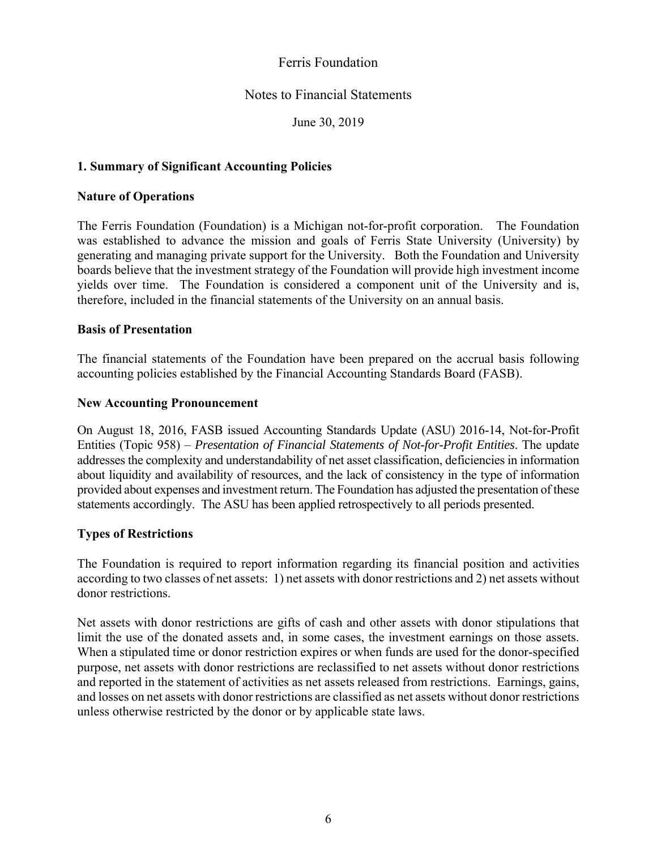## Notes to Financial Statements

June 30, 2019

## **1. Summary of Significant Accounting Policies**

#### **Nature of Operations**

The Ferris Foundation (Foundation) is a Michigan not-for-profit corporation. The Foundation was established to advance the mission and goals of Ferris State University (University) by generating and managing private support for the University. Both the Foundation and University boards believe that the investment strategy of the Foundation will provide high investment income yields over time. The Foundation is considered a component unit of the University and is, therefore, included in the financial statements of the University on an annual basis.

#### **Basis of Presentation**

The financial statements of the Foundation have been prepared on the accrual basis following accounting policies established by the Financial Accounting Standards Board (FASB).

#### **New Accounting Pronouncement**

On August 18, 2016, FASB issued Accounting Standards Update (ASU) 2016-14, Not-for-Profit Entities (Topic 958) – *Presentation of Financial Statements of Not-for-Profit Entities*. The update addresses the complexity and understandability of net asset classification, deficiencies in information about liquidity and availability of resources, and the lack of consistency in the type of information provided about expenses and investment return. The Foundation has adjusted the presentation of these statements accordingly. The ASU has been applied retrospectively to all periods presented.

## **Types of Restrictions**

The Foundation is required to report information regarding its financial position and activities according to two classes of net assets: 1) net assets with donor restrictions and 2) net assets without donor restrictions.

Net assets with donor restrictions are gifts of cash and other assets with donor stipulations that limit the use of the donated assets and, in some cases, the investment earnings on those assets. When a stipulated time or donor restriction expires or when funds are used for the donor-specified purpose, net assets with donor restrictions are reclassified to net assets without donor restrictions and reported in the statement of activities as net assets released from restrictions. Earnings, gains, and losses on net assets with donor restrictions are classified as net assets without donor restrictions unless otherwise restricted by the donor or by applicable state laws.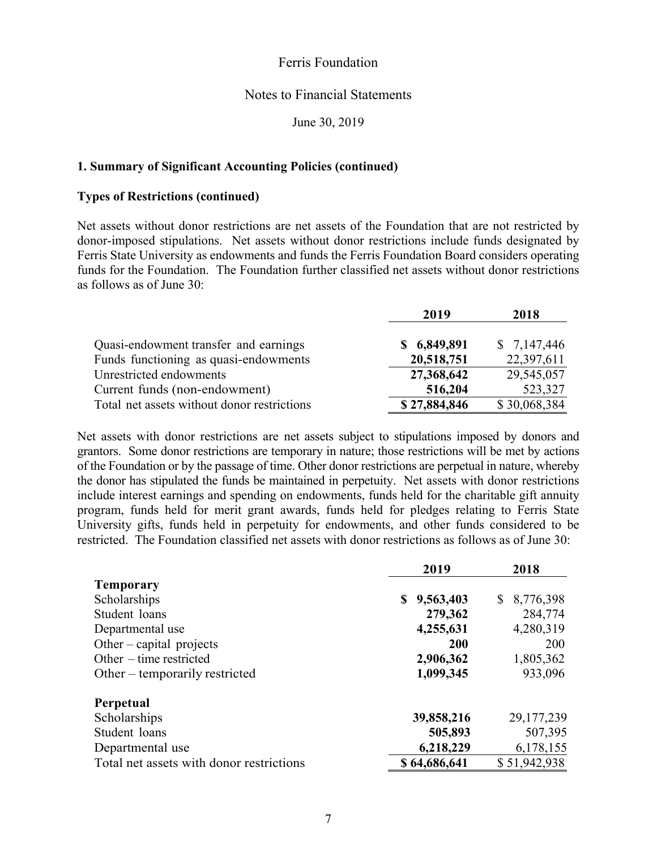## Notes to Financial Statements

June 30, 2019

#### **1. Summary of Significant Accounting Policies (continued)**

#### **Types of Restrictions (continued)**

Net assets without donor restrictions are net assets of the Foundation that are not restricted by donor-imposed stipulations. Net assets without donor restrictions include funds designated by Ferris State University as endowments and funds the Ferris Foundation Board considers operating funds for the Foundation. The Foundation further classified net assets without donor restrictions as follows as of June 30:

|                                             | 2019         | 2018         |
|---------------------------------------------|--------------|--------------|
| Quasi-endowment transfer and earnings       | \$ 6,849,891 | \$7,147,446  |
| Funds functioning as quasi-endowments       | 20,518,751   | 22,397,611   |
| Unrestricted endowments                     | 27,368,642   | 29,545,057   |
| Current funds (non-endowment)               | 516,204      | 523,327      |
| Total net assets without donor restrictions | \$27,884,846 | \$30,068,384 |

Net assets with donor restrictions are net assets subject to stipulations imposed by donors and grantors. Some donor restrictions are temporary in nature; those restrictions will be met by actions of the Foundation or by the passage of time. Other donor restrictions are perpetual in nature, whereby the donor has stipulated the funds be maintained in perpetuity. Net assets with donor restrictions include interest earnings and spending on endowments, funds held for the charitable gift annuity program, funds held for merit grant awards, funds held for pledges relating to Ferris State University gifts, funds held in perpetuity for endowments, and other funds considered to be restricted. The Foundation classified net assets with donor restrictions as follows as of June 30:

|                                          | 2019            | 2018                      |
|------------------------------------------|-----------------|---------------------------|
| <b>Temporary</b>                         |                 |                           |
| Scholarships                             | 9,563,403<br>S. | 8,776,398<br>$\mathbb{S}$ |
| Student loans                            | 279,362         | 284,774                   |
| Departmental use                         | 4,255,631       | 4,280,319                 |
| Other – capital projects                 | <b>200</b>      | 200                       |
| Other $-$ time restricted                | 2,906,362       | 1,805,362                 |
| Other – temporarily restricted           | 1,099,345       | 933,096                   |
| Perpetual                                |                 |                           |
| Scholarships                             | 39,858,216      | 29, 177, 239              |
| Student loans                            | 505,893         | 507,395                   |
| Departmental use                         | 6,218,229       | 6,178,155                 |
| Total net assets with donor restrictions | \$64,686,641    | \$51,942,938              |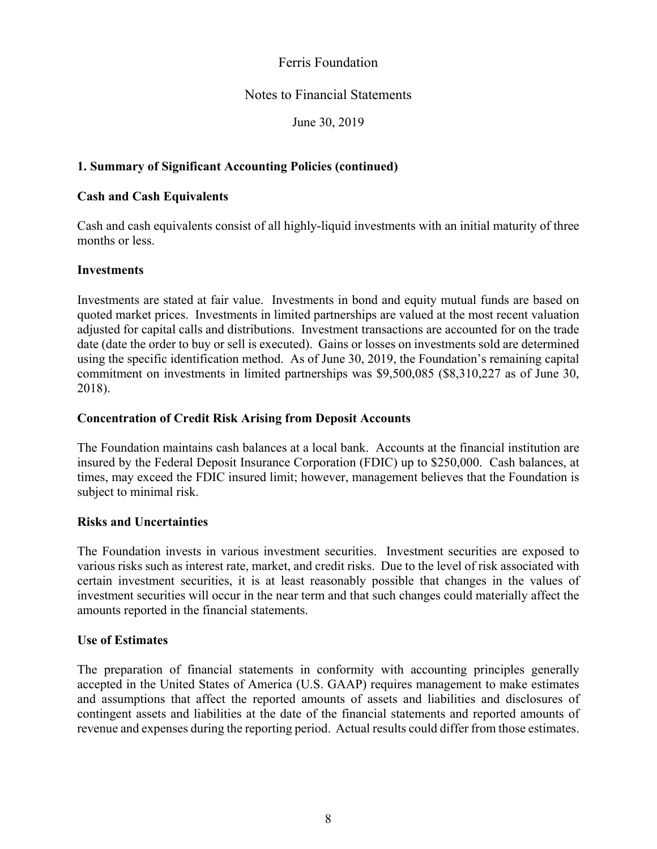## Notes to Financial Statements

June 30, 2019

## **1. Summary of Significant Accounting Policies (continued)**

#### **Cash and Cash Equivalents**

Cash and cash equivalents consist of all highly-liquid investments with an initial maturity of three months or less.

#### **Investments**

Investments are stated at fair value. Investments in bond and equity mutual funds are based on quoted market prices. Investments in limited partnerships are valued at the most recent valuation adjusted for capital calls and distributions. Investment transactions are accounted for on the trade date (date the order to buy or sell is executed). Gains or losses on investments sold are determined using the specific identification method. As of June 30, 2019, the Foundation's remaining capital commitment on investments in limited partnerships was \$9,500,085 (\$8,310,227 as of June 30, 2018).

#### **Concentration of Credit Risk Arising from Deposit Accounts**

The Foundation maintains cash balances at a local bank. Accounts at the financial institution are insured by the Federal Deposit Insurance Corporation (FDIC) up to \$250,000. Cash balances, at times, may exceed the FDIC insured limit; however, management believes that the Foundation is subject to minimal risk.

#### **Risks and Uncertainties**

The Foundation invests in various investment securities. Investment securities are exposed to various risks such as interest rate, market, and credit risks. Due to the level of risk associated with certain investment securities, it is at least reasonably possible that changes in the values of investment securities will occur in the near term and that such changes could materially affect the amounts reported in the financial statements.

#### **Use of Estimates**

The preparation of financial statements in conformity with accounting principles generally accepted in the United States of America (U.S. GAAP) requires management to make estimates and assumptions that affect the reported amounts of assets and liabilities and disclosures of contingent assets and liabilities at the date of the financial statements and reported amounts of revenue and expenses during the reporting period. Actual results could differ from those estimates.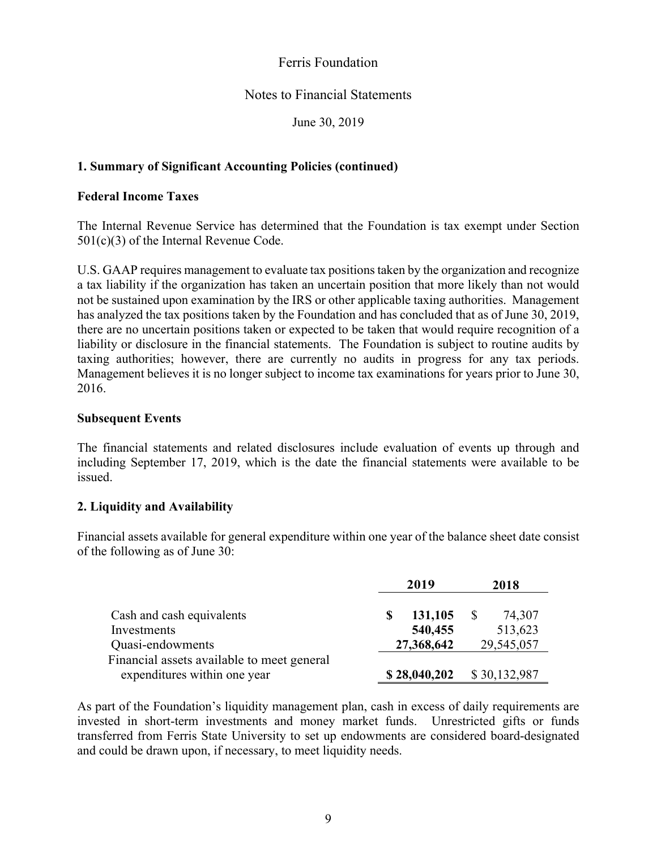## Notes to Financial Statements

June 30, 2019

## **1. Summary of Significant Accounting Policies (continued)**

#### **Federal Income Taxes**

The Internal Revenue Service has determined that the Foundation is tax exempt under Section 501(c)(3) of the Internal Revenue Code.

U.S. GAAP requires management to evaluate tax positions taken by the organization and recognize a tax liability if the organization has taken an uncertain position that more likely than not would not be sustained upon examination by the IRS or other applicable taxing authorities. Management has analyzed the tax positions taken by the Foundation and has concluded that as of June 30, 2019, there are no uncertain positions taken or expected to be taken that would require recognition of a liability or disclosure in the financial statements. The Foundation is subject to routine audits by taxing authorities; however, there are currently no audits in progress for any tax periods. Management believes it is no longer subject to income tax examinations for years prior to June 30, 2016.

#### **Subsequent Events**

The financial statements and related disclosures include evaluation of events up through and including September 17, 2019, which is the date the financial statements were available to be issued.

#### **2. Liquidity and Availability**

Financial assets available for general expenditure within one year of the balance sheet date consist of the following as of June 30:

| 2019 |         | 2018                       |              |
|------|---------|----------------------------|--------------|
|      | 131,105 | <sup>8</sup>               | 74,307       |
|      | 540,455 |                            | 513,623      |
|      |         |                            | 29,545,057   |
|      |         |                            | \$30,132,987 |
|      |         | 27,368,642<br>\$28,040,202 |              |

As part of the Foundation's liquidity management plan, cash in excess of daily requirements are invested in short-term investments and money market funds. Unrestricted gifts or funds transferred from Ferris State University to set up endowments are considered board-designated and could be drawn upon, if necessary, to meet liquidity needs.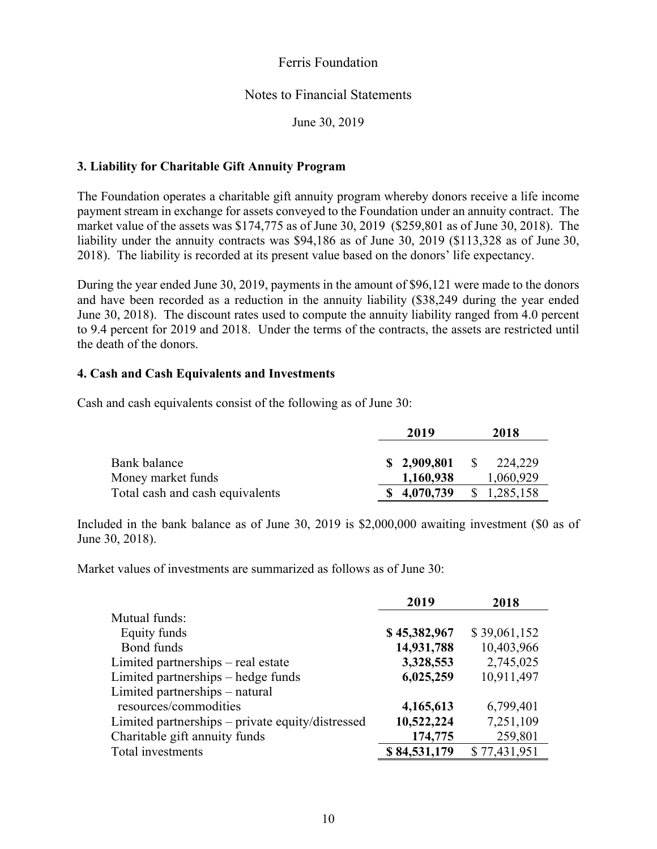## Notes to Financial Statements

June 30, 2019

## **3. Liability for Charitable Gift Annuity Program**

The Foundation operates a charitable gift annuity program whereby donors receive a life income payment stream in exchange for assets conveyed to the Foundation under an annuity contract. The market value of the assets was \$174,775 as of June 30, 2019 (\$259,801 as of June 30, 2018). The liability under the annuity contracts was \$94,186 as of June 30, 2019 (\$113,328 as of June 30, 2018). The liability is recorded at its present value based on the donors' life expectancy.

During the year ended June 30, 2019, payments in the amount of \$96,121 were made to the donors and have been recorded as a reduction in the annuity liability (\$38,249 during the year ended June 30, 2018). The discount rates used to compute the annuity liability ranged from 4.0 percent to 9.4 percent for 2019 and 2018. Under the terms of the contracts, the assets are restricted until the death of the donors.

#### **4. Cash and Cash Equivalents and Investments**

Cash and cash equivalents consist of the following as of June 30:

|                                 | 2019        | 2018                 |
|---------------------------------|-------------|----------------------|
| Bank balance                    | \$2,909,801 | $\frac{\$}{224,229}$ |
| Money market funds              | 1,160,938   | 1,060,929            |
| Total cash and cash equivalents | \$4,070,739 | \$1,285,158          |

Included in the bank balance as of June 30, 2019 is \$2,000,000 awaiting investment (\$0 as of June 30, 2018).

Market values of investments are summarized as follows as of June 30:

|                                                  | 2019         | 2018         |
|--------------------------------------------------|--------------|--------------|
| Mutual funds:                                    |              |              |
| Equity funds                                     | \$45,382,967 | \$39,061,152 |
| Bond funds                                       | 14,931,788   | 10,403,966   |
| Limited partnerships – real estate               | 3,328,553    | 2,745,025    |
| Limited partnerships – hedge funds               | 6,025,259    | 10,911,497   |
| Limited partnerships – natural                   |              |              |
| resources/commodities                            | 4,165,613    | 6,799,401    |
| Limited partnerships – private equity/distressed | 10,522,224   | 7,251,109    |
| Charitable gift annuity funds                    | 174,775      | 259,801      |
| Total investments                                | \$84,531,179 | \$77,431,951 |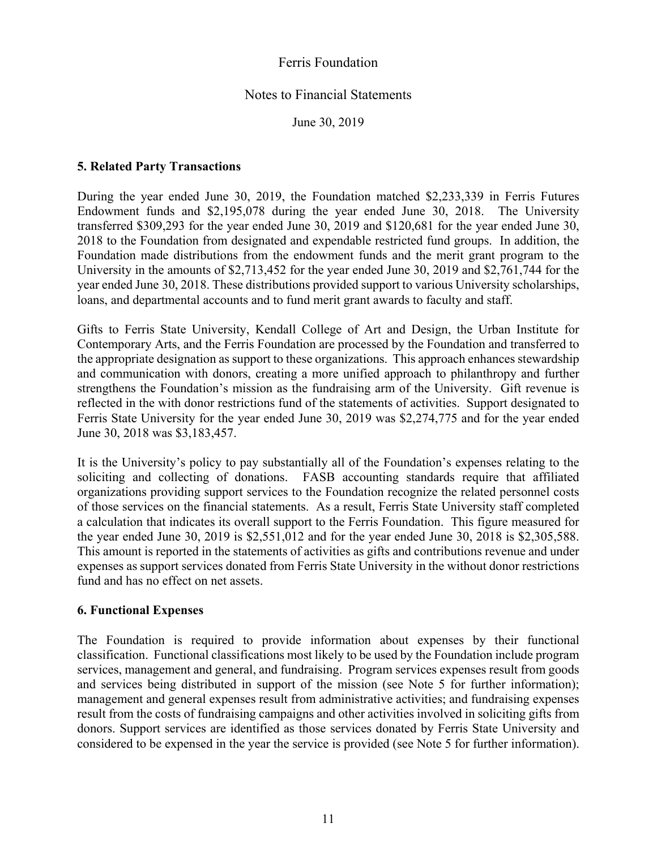## Notes to Financial Statements

June 30, 2019

## **5. Related Party Transactions**

During the year ended June 30, 2019, the Foundation matched \$2,233,339 in Ferris Futures Endowment funds and \$2,195,078 during the year ended June 30, 2018. The University transferred \$309,293 for the year ended June 30, 2019 and \$120,681 for the year ended June 30, 2018 to the Foundation from designated and expendable restricted fund groups. In addition, the Foundation made distributions from the endowment funds and the merit grant program to the University in the amounts of \$2,713,452 for the year ended June 30, 2019 and \$2,761,744 for the year ended June 30, 2018. These distributions provided support to various University scholarships, loans, and departmental accounts and to fund merit grant awards to faculty and staff.

Gifts to Ferris State University, Kendall College of Art and Design, the Urban Institute for Contemporary Arts, and the Ferris Foundation are processed by the Foundation and transferred to the appropriate designation as support to these organizations. This approach enhances stewardship and communication with donors, creating a more unified approach to philanthropy and further strengthens the Foundation's mission as the fundraising arm of the University. Gift revenue is reflected in the with donor restrictions fund of the statements of activities. Support designated to Ferris State University for the year ended June 30, 2019 was \$2,274,775 and for the year ended June 30, 2018 was \$3,183,457.

It is the University's policy to pay substantially all of the Foundation's expenses relating to the soliciting and collecting of donations. FASB accounting standards require that affiliated organizations providing support services to the Foundation recognize the related personnel costs of those services on the financial statements. As a result, Ferris State University staff completed a calculation that indicates its overall support to the Ferris Foundation. This figure measured for the year ended June 30, 2019 is \$2,551,012 and for the year ended June 30, 2018 is \$2,305,588. This amount is reported in the statements of activities as gifts and contributions revenue and under expenses as support services donated from Ferris State University in the without donor restrictions fund and has no effect on net assets.

#### **6. Functional Expenses**

The Foundation is required to provide information about expenses by their functional classification. Functional classifications most likely to be used by the Foundation include program services, management and general, and fundraising. Program services expenses result from goods and services being distributed in support of the mission (see Note 5 for further information); management and general expenses result from administrative activities; and fundraising expenses result from the costs of fundraising campaigns and other activities involved in soliciting gifts from donors. Support services are identified as those services donated by Ferris State University and considered to be expensed in the year the service is provided (see Note 5 for further information).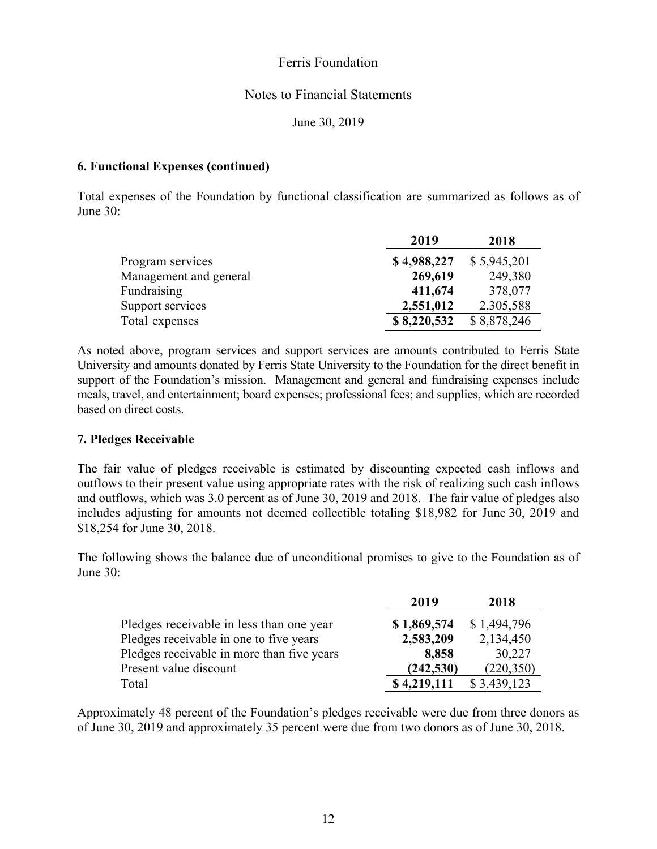#### Notes to Financial Statements

June 30, 2019

## **6. Functional Expenses (continued)**

Total expenses of the Foundation by functional classification are summarized as follows as of June 30:

|                        | 2019        | 2018        |
|------------------------|-------------|-------------|
| Program services       | \$4,988,227 | \$5,945,201 |
| Management and general | 269,619     | 249,380     |
| Fundraising            | 411,674     | 378,077     |
| Support services       | 2,551,012   | 2,305,588   |
| Total expenses         | \$8,220,532 | \$8,878,246 |

As noted above, program services and support services are amounts contributed to Ferris State University and amounts donated by Ferris State University to the Foundation for the direct benefit in support of the Foundation's mission. Management and general and fundraising expenses include meals, travel, and entertainment; board expenses; professional fees; and supplies, which are recorded based on direct costs.

#### **7. Pledges Receivable**

The fair value of pledges receivable is estimated by discounting expected cash inflows and outflows to their present value using appropriate rates with the risk of realizing such cash inflows and outflows, which was 3.0 percent as of June 30, 2019 and 2018. The fair value of pledges also includes adjusting for amounts not deemed collectible totaling \$18,982 for June 30, 2019 and \$18,254 for June 30, 2018.

The following shows the balance due of unconditional promises to give to the Foundation as of June 30:

|                                            | 2019        | 2018        |
|--------------------------------------------|-------------|-------------|
| Pledges receivable in less than one year   | \$1,869,574 | \$1,494,796 |
| Pledges receivable in one to five years    | 2,583,209   | 2,134,450   |
| Pledges receivable in more than five years | 8,858       | 30,227      |
| Present value discount                     | (242, 530)  | (220, 350)  |
| Total                                      | \$4,219,111 | \$3,439,123 |

Approximately 48 percent of the Foundation's pledges receivable were due from three donors as of June 30, 2019 and approximately 35 percent were due from two donors as of June 30, 2018.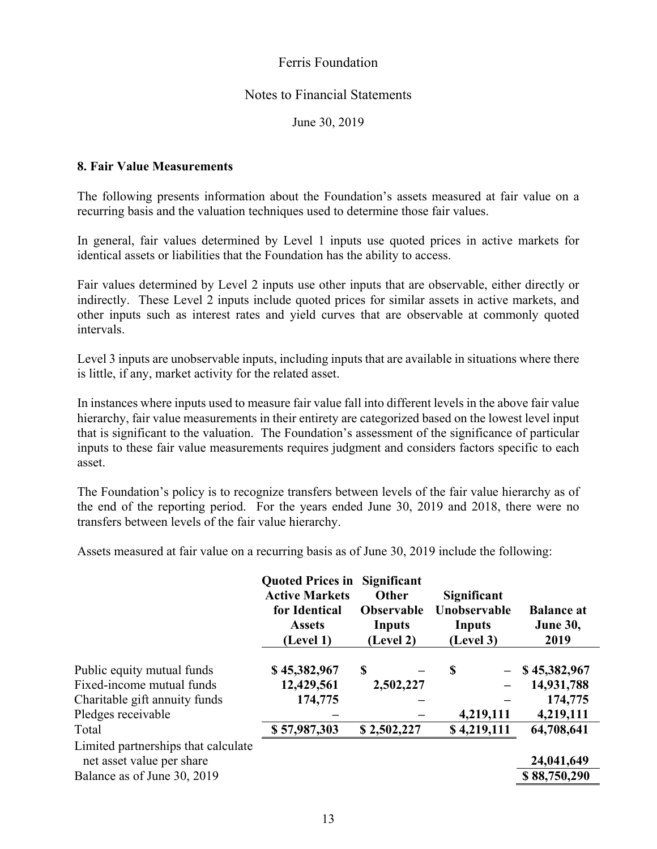### Notes to Financial Statements

June 30, 2019

#### **8. Fair Value Measurements**

The following presents information about the Foundation's assets measured at fair value on a recurring basis and the valuation techniques used to determine those fair values.

In general, fair values determined by Level 1 inputs use quoted prices in active markets for identical assets or liabilities that the Foundation has the ability to access.

Fair values determined by Level 2 inputs use other inputs that are observable, either directly or indirectly. These Level 2 inputs include quoted prices for similar assets in active markets, and other inputs such as interest rates and yield curves that are observable at commonly quoted intervals.

Level 3 inputs are unobservable inputs, including inputs that are available in situations where there is little, if any, market activity for the related asset.

In instances where inputs used to measure fair value fall into different levels in the above fair value hierarchy, fair value measurements in their entirety are categorized based on the lowest level input that is significant to the valuation. The Foundation's assessment of the significance of particular inputs to these fair value measurements requires judgment and considers factors specific to each asset.

The Foundation's policy is to recognize transfers between levels of the fair value hierarchy as of the end of the reporting period. For the years ended June 30, 2019 and 2018, there were no transfers between levels of the fair value hierarchy.

Assets measured at fair value on a recurring basis as of June 30, 2019 include the following:

|                                     | <b>Quoted Prices in</b><br><b>Active Markets</b><br>for Identical<br><b>Assets</b><br>(Level 1) | Significant<br><b>Other</b><br><b>Observable</b><br>Inputs<br>(Level 2) | Significant<br>Unobservable<br>Inputs<br>(Level 3) | <b>Balance at</b><br><b>June 30,</b><br>2019 |
|-------------------------------------|-------------------------------------------------------------------------------------------------|-------------------------------------------------------------------------|----------------------------------------------------|----------------------------------------------|
|                                     |                                                                                                 |                                                                         |                                                    |                                              |
| Public equity mutual funds          | \$45,382,967                                                                                    | S                                                                       | S<br>$\overline{\phantom{m}}$                      | \$45,382,967                                 |
| Fixed-income mutual funds           | 12,429,561                                                                                      | 2,502,227                                                               | $\overline{\phantom{0}}$                           | 14,931,788                                   |
| Charitable gift annuity funds       | 174,775                                                                                         |                                                                         |                                                    | 174,775                                      |
| Pledges receivable                  |                                                                                                 |                                                                         | 4,219,111                                          | 4,219,111                                    |
| Total                               | \$57,987,303                                                                                    | \$2,502,227                                                             | \$4,219,111                                        | 64,708,641                                   |
| Limited partnerships that calculate |                                                                                                 |                                                                         |                                                    |                                              |
| net asset value per share           |                                                                                                 |                                                                         |                                                    | 24,041,649                                   |
| Balance as of June 30, 2019         |                                                                                                 |                                                                         |                                                    | \$88,750,290                                 |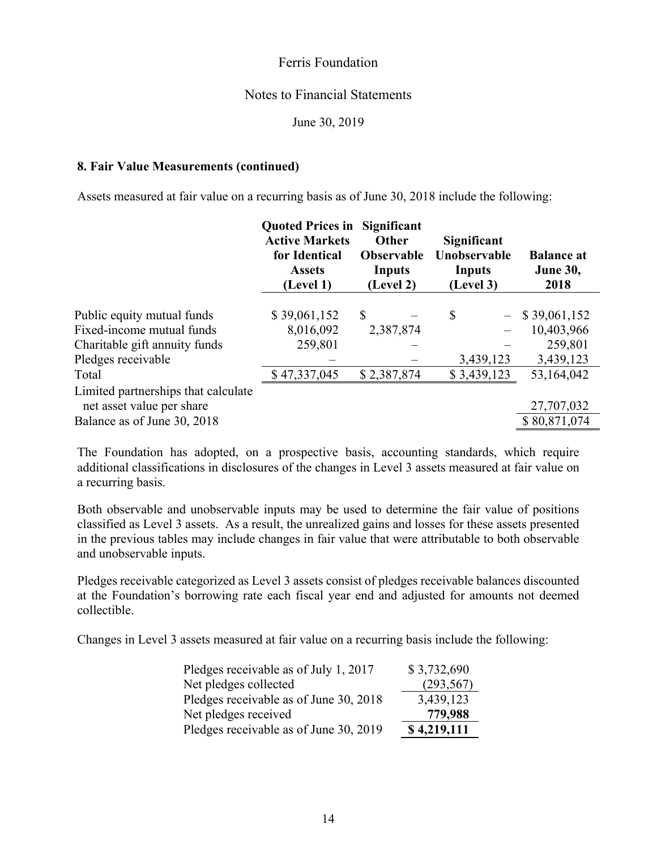#### Notes to Financial Statements

June 30, 2019

#### **8. Fair Value Measurements (continued)**

Assets measured at fair value on a recurring basis as of June 30, 2018 include the following:

|                                     | <b>Quoted Prices in</b><br><b>Active Markets</b><br>for Identical<br><b>Assets</b><br>(Level 1) | <b>Significant</b><br>Other<br><b>Observable</b><br>Inputs<br>(Level 2) | Significant<br><b>Unobservable</b><br>Inputs<br>(Level 3) | <b>Balance at</b><br><b>June 30,</b><br>2018 |
|-------------------------------------|-------------------------------------------------------------------------------------------------|-------------------------------------------------------------------------|-----------------------------------------------------------|----------------------------------------------|
|                                     |                                                                                                 |                                                                         |                                                           |                                              |
| Public equity mutual funds          | \$39,061,152                                                                                    | \$                                                                      | S<br>$\overline{\phantom{m}}$                             | \$39,061,152                                 |
| Fixed-income mutual funds           | 8,016,092                                                                                       | 2,387,874                                                               |                                                           | 10,403,966                                   |
| Charitable gift annuity funds       | 259,801                                                                                         |                                                                         |                                                           | 259,801                                      |
| Pledges receivable                  |                                                                                                 |                                                                         | 3,439,123                                                 | 3,439,123                                    |
| Total                               | \$47,337,045                                                                                    | \$2,387,874                                                             | \$3,439,123                                               | 53,164,042                                   |
| Limited partnerships that calculate |                                                                                                 |                                                                         |                                                           |                                              |
| net asset value per share           |                                                                                                 |                                                                         |                                                           | 27,707,032                                   |
| Balance as of June 30, 2018         |                                                                                                 |                                                                         |                                                           | \$80,871,074                                 |

The Foundation has adopted, on a prospective basis, accounting standards, which require additional classifications in disclosures of the changes in Level 3 assets measured at fair value on a recurring basis.

Both observable and unobservable inputs may be used to determine the fair value of positions classified as Level 3 assets. As a result, the unrealized gains and losses for these assets presented in the previous tables may include changes in fair value that were attributable to both observable and unobservable inputs.

Pledges receivable categorized as Level 3 assets consist of pledges receivable balances discounted at the Foundation's borrowing rate each fiscal year end and adjusted for amounts not deemed collectible.

Changes in Level 3 assets measured at fair value on a recurring basis include the following:

| Pledges receivable as of July 1, 2017  | \$3,732,690 |
|----------------------------------------|-------------|
| Net pledges collected                  | (293, 567)  |
| Pledges receivable as of June 30, 2018 | 3,439,123   |
| Net pledges received                   | 779,988     |
| Pledges receivable as of June 30, 2019 | \$4,219,111 |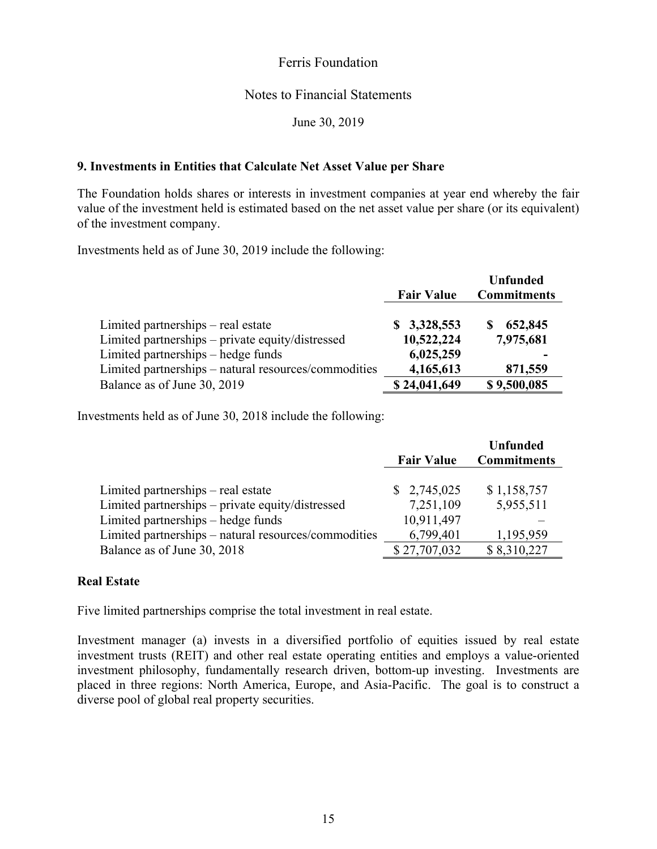## Notes to Financial Statements

June 30, 2019

#### **9. Investments in Entities that Calculate Net Asset Value per Share**

The Foundation holds shares or interests in investment companies at year end whereby the fair value of the investment held is estimated based on the net asset value per share (or its equivalent) of the investment company.

Investments held as of June 30, 2019 include the following:

|                                                      |                   | <b>Unfunded</b>    |
|------------------------------------------------------|-------------------|--------------------|
|                                                      | <b>Fair Value</b> | <b>Commitments</b> |
|                                                      |                   |                    |
| Limited partnerships – real estate                   | \$3,328,553       | 652,845            |
| Limited partnerships – private equity/distressed     | 10,522,224        | 7,975,681          |
| Limited partnerships – hedge funds                   | 6,025,259         |                    |
| Limited partnerships – natural resources/commodities | 4,165,613         | 871,559            |
| Balance as of June 30, 2019                          | \$24,041,649      | \$9,500,085        |

Investments held as of June 30, 2018 include the following:

|                                                      | <b>Fair Value</b> | <b>Unfunded</b><br><b>Commitments</b> |
|------------------------------------------------------|-------------------|---------------------------------------|
| Limited partnerships – real estate                   | \$2,745,025       | \$1,158,757                           |
| Limited partnerships – private equity/distressed     | 7,251,109         | 5,955,511                             |
| Limited partnerships – hedge funds                   | 10,911,497        |                                       |
| Limited partnerships – natural resources/commodities | 6,799,401         | 1,195,959                             |
| Balance as of June 30, 2018                          | \$27,707,032      | \$8,310,227                           |

#### **Real Estate**

Five limited partnerships comprise the total investment in real estate.

Investment manager (a) invests in a diversified portfolio of equities issued by real estate investment trusts (REIT) and other real estate operating entities and employs a value-oriented investment philosophy, fundamentally research driven, bottom-up investing. Investments are placed in three regions: North America, Europe, and Asia-Pacific. The goal is to construct a diverse pool of global real property securities.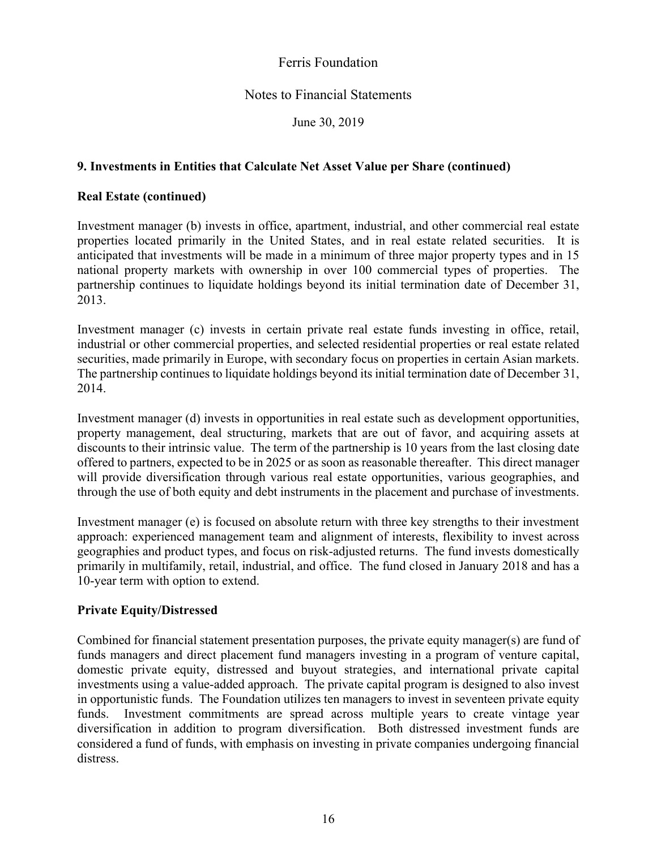## Notes to Financial Statements

June 30, 2019

## **9. Investments in Entities that Calculate Net Asset Value per Share (continued)**

#### **Real Estate (continued)**

Investment manager (b) invests in office, apartment, industrial, and other commercial real estate properties located primarily in the United States, and in real estate related securities. It is anticipated that investments will be made in a minimum of three major property types and in 15 national property markets with ownership in over 100 commercial types of properties. The partnership continues to liquidate holdings beyond its initial termination date of December 31, 2013.

Investment manager (c) invests in certain private real estate funds investing in office, retail, industrial or other commercial properties, and selected residential properties or real estate related securities, made primarily in Europe, with secondary focus on properties in certain Asian markets. The partnership continues to liquidate holdings beyond its initial termination date of December 31, 2014.

Investment manager (d) invests in opportunities in real estate such as development opportunities, property management, deal structuring, markets that are out of favor, and acquiring assets at discounts to their intrinsic value. The term of the partnership is 10 years from the last closing date offered to partners, expected to be in 2025 or as soon as reasonable thereafter. This direct manager will provide diversification through various real estate opportunities, various geographies, and through the use of both equity and debt instruments in the placement and purchase of investments.

Investment manager (e) is focused on absolute return with three key strengths to their investment approach: experienced management team and alignment of interests, flexibility to invest across geographies and product types, and focus on risk-adjusted returns. The fund invests domestically primarily in multifamily, retail, industrial, and office. The fund closed in January 2018 and has a 10-year term with option to extend.

#### **Private Equity/Distressed**

Combined for financial statement presentation purposes, the private equity manager(s) are fund of funds managers and direct placement fund managers investing in a program of venture capital, domestic private equity, distressed and buyout strategies, and international private capital investments using a value-added approach. The private capital program is designed to also invest in opportunistic funds. The Foundation utilizes ten managers to invest in seventeen private equity funds. Investment commitments are spread across multiple years to create vintage year diversification in addition to program diversification. Both distressed investment funds are considered a fund of funds, with emphasis on investing in private companies undergoing financial distress.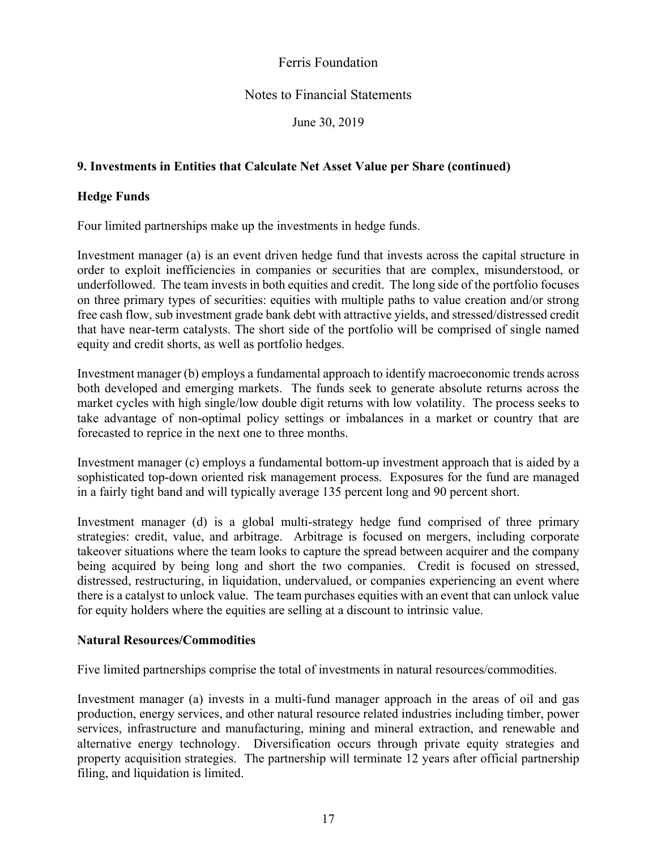## Notes to Financial Statements

June 30, 2019

## **9. Investments in Entities that Calculate Net Asset Value per Share (continued)**

#### **Hedge Funds**

Four limited partnerships make up the investments in hedge funds.

Investment manager (a) is an event driven hedge fund that invests across the capital structure in order to exploit inefficiencies in companies or securities that are complex, misunderstood, or underfollowed. The team invests in both equities and credit. The long side of the portfolio focuses on three primary types of securities: equities with multiple paths to value creation and/or strong free cash flow, sub investment grade bank debt with attractive yields, and stressed/distressed credit that have near-term catalysts. The short side of the portfolio will be comprised of single named equity and credit shorts, as well as portfolio hedges.

Investment manager (b) employs a fundamental approach to identify macroeconomic trends across both developed and emerging markets. The funds seek to generate absolute returns across the market cycles with high single/low double digit returns with low volatility. The process seeks to take advantage of non-optimal policy settings or imbalances in a market or country that are forecasted to reprice in the next one to three months.

Investment manager (c) employs a fundamental bottom-up investment approach that is aided by a sophisticated top-down oriented risk management process. Exposures for the fund are managed in a fairly tight band and will typically average 135 percent long and 90 percent short.

Investment manager (d) is a global multi-strategy hedge fund comprised of three primary strategies: credit, value, and arbitrage. Arbitrage is focused on mergers, including corporate takeover situations where the team looks to capture the spread between acquirer and the company being acquired by being long and short the two companies. Credit is focused on stressed, distressed, restructuring, in liquidation, undervalued, or companies experiencing an event where there is a catalyst to unlock value. The team purchases equities with an event that can unlock value for equity holders where the equities are selling at a discount to intrinsic value.

#### **Natural Resources/Commodities**

Five limited partnerships comprise the total of investments in natural resources/commodities.

Investment manager (a) invests in a multi-fund manager approach in the areas of oil and gas production, energy services, and other natural resource related industries including timber, power services, infrastructure and manufacturing, mining and mineral extraction, and renewable and alternative energy technology. Diversification occurs through private equity strategies and property acquisition strategies. The partnership will terminate 12 years after official partnership filing, and liquidation is limited.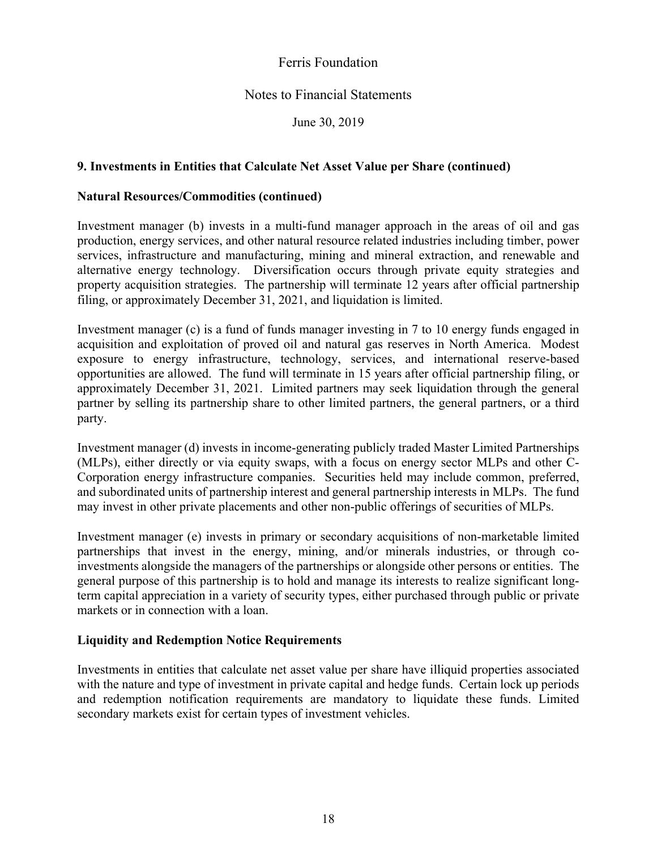## Notes to Financial Statements

June 30, 2019

## **9. Investments in Entities that Calculate Net Asset Value per Share (continued)**

#### **Natural Resources/Commodities (continued)**

Investment manager (b) invests in a multi-fund manager approach in the areas of oil and gas production, energy services, and other natural resource related industries including timber, power services, infrastructure and manufacturing, mining and mineral extraction, and renewable and alternative energy technology. Diversification occurs through private equity strategies and property acquisition strategies. The partnership will terminate 12 years after official partnership filing, or approximately December 31, 2021, and liquidation is limited.

Investment manager (c) is a fund of funds manager investing in 7 to 10 energy funds engaged in acquisition and exploitation of proved oil and natural gas reserves in North America. Modest exposure to energy infrastructure, technology, services, and international reserve-based opportunities are allowed. The fund will terminate in 15 years after official partnership filing, or approximately December 31, 2021. Limited partners may seek liquidation through the general partner by selling its partnership share to other limited partners, the general partners, or a third party.

Investment manager (d) invests in income-generating publicly traded Master Limited Partnerships (MLPs), either directly or via equity swaps, with a focus on energy sector MLPs and other C-Corporation energy infrastructure companies. Securities held may include common, preferred, and subordinated units of partnership interest and general partnership interests in MLPs. The fund may invest in other private placements and other non-public offerings of securities of MLPs.

Investment manager (e) invests in primary or secondary acquisitions of non-marketable limited partnerships that invest in the energy, mining, and/or minerals industries, or through coinvestments alongside the managers of the partnerships or alongside other persons or entities. The general purpose of this partnership is to hold and manage its interests to realize significant longterm capital appreciation in a variety of security types, either purchased through public or private markets or in connection with a loan.

#### **Liquidity and Redemption Notice Requirements**

Investments in entities that calculate net asset value per share have illiquid properties associated with the nature and type of investment in private capital and hedge funds. Certain lock up periods and redemption notification requirements are mandatory to liquidate these funds. Limited secondary markets exist for certain types of investment vehicles.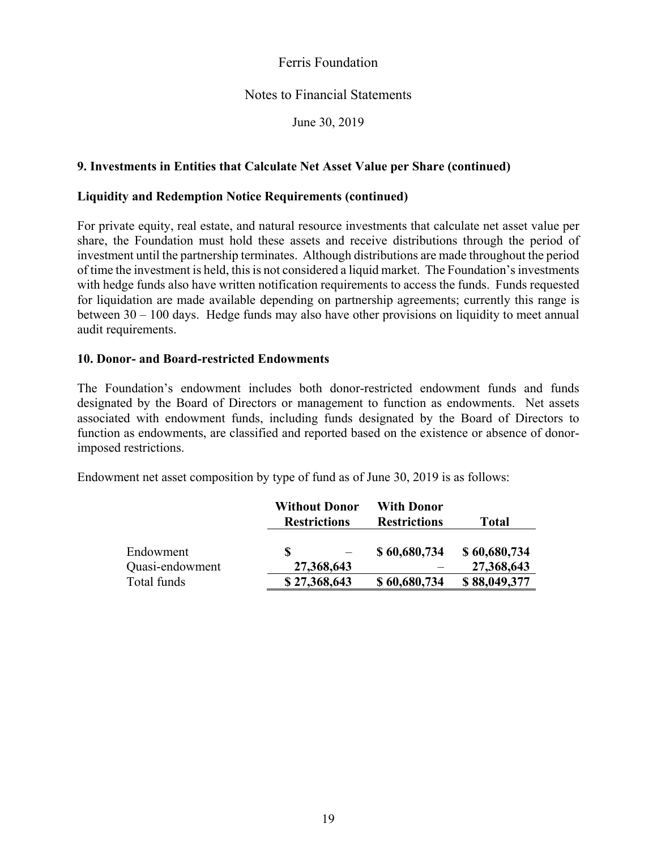## Notes to Financial Statements

June 30, 2019

## **9. Investments in Entities that Calculate Net Asset Value per Share (continued)**

#### **Liquidity and Redemption Notice Requirements (continued)**

For private equity, real estate, and natural resource investments that calculate net asset value per share, the Foundation must hold these assets and receive distributions through the period of investment until the partnership terminates. Although distributions are made throughout the period of time the investment is held, this is not considered a liquid market. The Foundation's investments with hedge funds also have written notification requirements to access the funds. Funds requested for liquidation are made available depending on partnership agreements; currently this range is between 30 – 100 days. Hedge funds may also have other provisions on liquidity to meet annual audit requirements.

#### **10. Donor- and Board-restricted Endowments**

The Foundation's endowment includes both donor-restricted endowment funds and funds designated by the Board of Directors or management to function as endowments. Net assets associated with endowment funds, including funds designated by the Board of Directors to function as endowments, are classified and reported based on the existence or absence of donorimposed restrictions.

Endowment net asset composition by type of fund as of June 30, 2019 is as follows:

|                 | <b>Without Donor</b> | <b>With Donor</b>   |              |
|-----------------|----------------------|---------------------|--------------|
|                 | <b>Restrictions</b>  | <b>Restrictions</b> | Total        |
|                 |                      |                     |              |
| Endowment       | S                    | \$60,680,734        | \$60,680,734 |
| Quasi-endowment | 27,368,643           |                     | 27,368,643   |
| Total funds     | \$27,368,643         | \$60,680,734        | \$88,049,377 |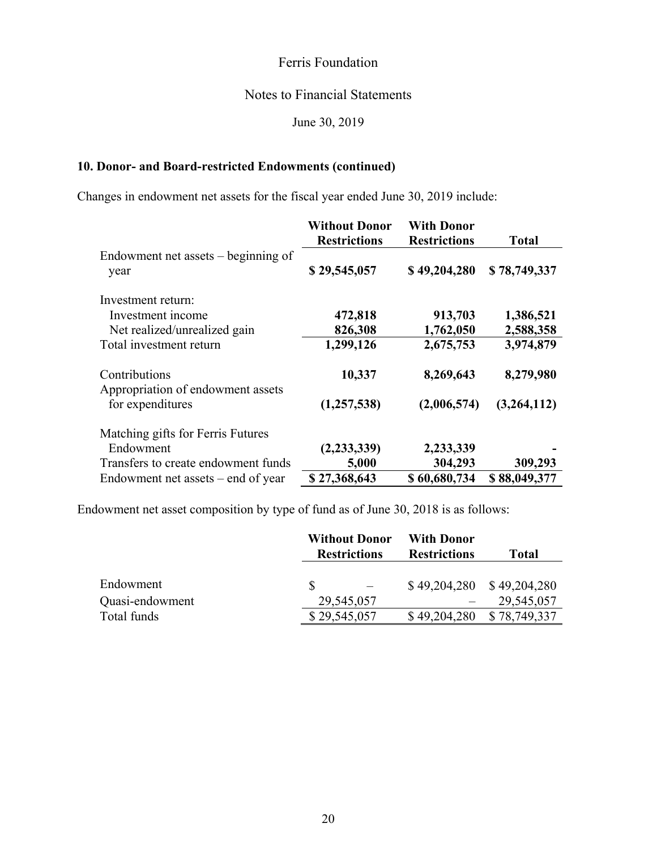## Notes to Financial Statements

June 30, 2019

## **10. Donor- and Board-restricted Endowments (continued)**

Changes in endowment net assets for the fiscal year ended June 30, 2019 include:

|                                                       | <b>Without Donor</b><br><b>Restrictions</b> | <b>With Donor</b><br><b>Restrictions</b> | <b>Total</b> |
|-------------------------------------------------------|---------------------------------------------|------------------------------------------|--------------|
| Endowment net assets – beginning of                   |                                             |                                          |              |
| year                                                  | \$29,545,057                                | \$49,204,280                             | \$78,749,337 |
| Investment return:                                    |                                             |                                          |              |
| Investment income                                     | 472,818                                     | 913,703                                  | 1,386,521    |
| Net realized/unrealized gain                          | 826,308                                     | 1,762,050                                | 2,588,358    |
| Total investment return                               | 1,299,126                                   | 2,675,753                                | 3,974,879    |
| Contributions                                         | 10,337                                      | 8,269,643                                | 8,279,980    |
| Appropriation of endowment assets<br>for expenditures | (1,257,538)                                 | (2,006,574)                              | (3,264,112)  |
| Matching gifts for Ferris Futures                     |                                             |                                          |              |
| Endowment                                             | (2, 233, 339)                               | 2,233,339                                |              |
| Transfers to create endowment funds                   | 5,000                                       | 304,293                                  | 309,293      |
| Endowment net assets – end of year                    | \$27,368,643                                | \$60,680,734                             | \$88,049,377 |

Endowment net asset composition by type of fund as of June 30, 2018 is as follows:

|                 | <b>Without Donor</b><br><b>Restrictions</b> | <b>With Donor</b><br><b>Restrictions</b> | <b>Total</b> |
|-----------------|---------------------------------------------|------------------------------------------|--------------|
| Endowment       | S                                           | $$49,204,280$ $$49,204,280$              |              |
| Quasi-endowment | 29,545,057                                  |                                          | 29,545,057   |
| Total funds     | \$29,545,057                                | \$49,204,280                             | \$78,749,337 |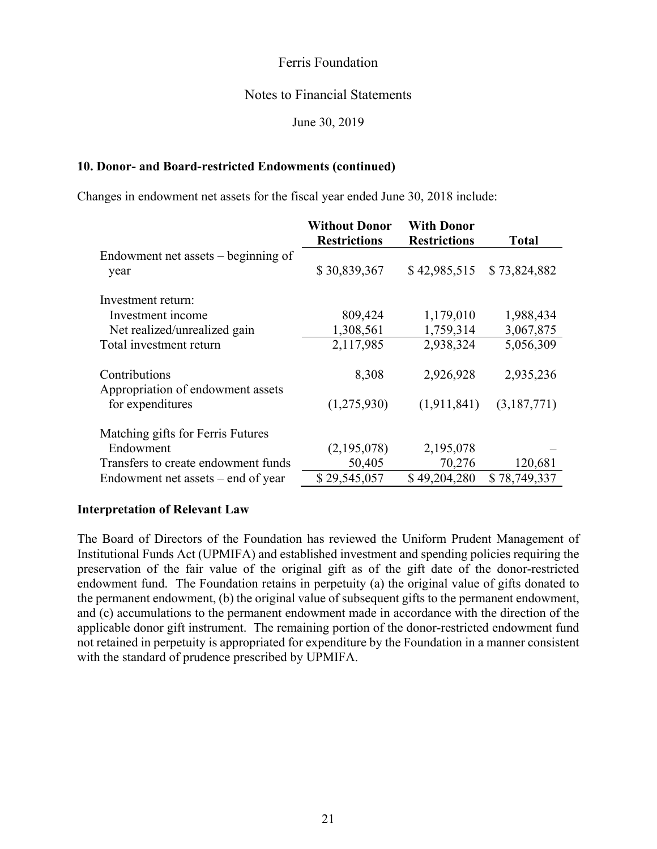## Notes to Financial Statements

June 30, 2019

#### **10. Donor- and Board-restricted Endowments (continued)**

Changes in endowment net assets for the fiscal year ended June 30, 2018 include:

|                                                       | <b>Without Donor</b> | <b>With Donor</b>   |              |
|-------------------------------------------------------|----------------------|---------------------|--------------|
|                                                       | <b>Restrictions</b>  | <b>Restrictions</b> | <b>Total</b> |
| Endowment net assets – beginning of                   |                      |                     |              |
| year                                                  | \$30,839,367         | \$42,985,515        | \$73,824,882 |
| Investment return:                                    |                      |                     |              |
| Investment income                                     | 809,424              | 1,179,010           | 1,988,434    |
| Net realized/unrealized gain                          | 1,308,561            | 1,759,314           | 3,067,875    |
| Total investment return                               | 2,117,985            | 2,938,324           | 5,056,309    |
| Contributions                                         | 8,308                | 2,926,928           | 2,935,236    |
| Appropriation of endowment assets<br>for expenditures | (1,275,930)          | (1,911,841)         | (3,187,771)  |
| Matching gifts for Ferris Futures                     |                      |                     |              |
| Endowment                                             | (2,195,078)          | 2,195,078           |              |
| Transfers to create endowment funds                   | 50,405               | 70,276              | 120,681      |
| Endowment net assets – end of year                    | \$29,545,057         | \$49,204,280        | \$78,749,337 |

#### **Interpretation of Relevant Law**

The Board of Directors of the Foundation has reviewed the Uniform Prudent Management of Institutional Funds Act (UPMIFA) and established investment and spending policies requiring the preservation of the fair value of the original gift as of the gift date of the donor-restricted endowment fund. The Foundation retains in perpetuity (a) the original value of gifts donated to the permanent endowment, (b) the original value of subsequent gifts to the permanent endowment, and (c) accumulations to the permanent endowment made in accordance with the direction of the applicable donor gift instrument. The remaining portion of the donor-restricted endowment fund not retained in perpetuity is appropriated for expenditure by the Foundation in a manner consistent with the standard of prudence prescribed by UPMIFA.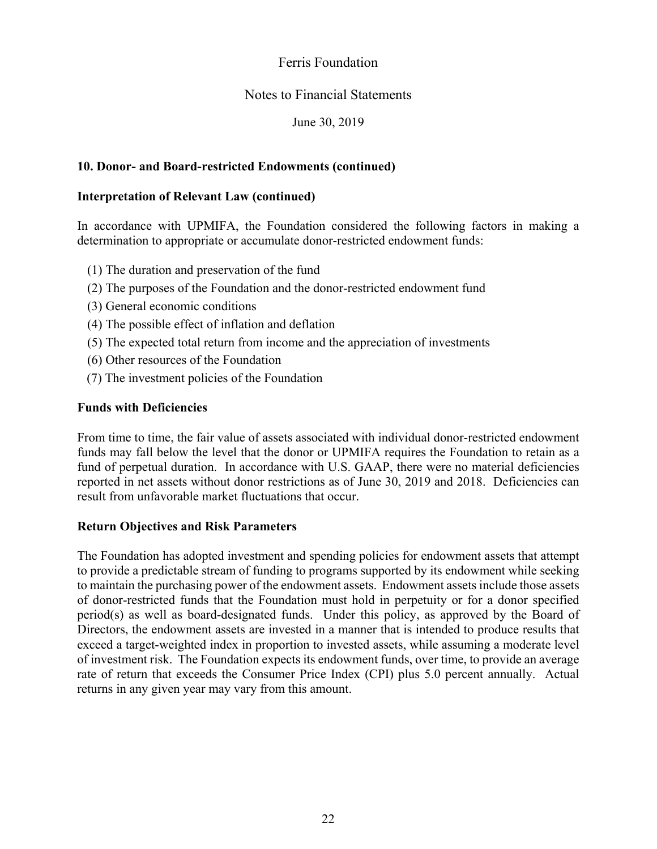## Notes to Financial Statements

June 30, 2019

### **10. Donor- and Board-restricted Endowments (continued)**

#### **Interpretation of Relevant Law (continued)**

In accordance with UPMIFA, the Foundation considered the following factors in making a determination to appropriate or accumulate donor-restricted endowment funds:

- (1) The duration and preservation of the fund
- (2) The purposes of the Foundation and the donor-restricted endowment fund
- (3) General economic conditions
- (4) The possible effect of inflation and deflation
- (5) The expected total return from income and the appreciation of investments
- (6) Other resources of the Foundation
- (7) The investment policies of the Foundation

#### **Funds with Deficiencies**

From time to time, the fair value of assets associated with individual donor-restricted endowment funds may fall below the level that the donor or UPMIFA requires the Foundation to retain as a fund of perpetual duration. In accordance with U.S. GAAP, there were no material deficiencies reported in net assets without donor restrictions as of June 30, 2019 and 2018. Deficiencies can result from unfavorable market fluctuations that occur.

#### **Return Objectives and Risk Parameters**

The Foundation has adopted investment and spending policies for endowment assets that attempt to provide a predictable stream of funding to programs supported by its endowment while seeking to maintain the purchasing power of the endowment assets. Endowment assets include those assets of donor-restricted funds that the Foundation must hold in perpetuity or for a donor specified period(s) as well as board-designated funds. Under this policy, as approved by the Board of Directors, the endowment assets are invested in a manner that is intended to produce results that exceed a target-weighted index in proportion to invested assets, while assuming a moderate level of investment risk. The Foundation expects its endowment funds, over time, to provide an average rate of return that exceeds the Consumer Price Index (CPI) plus 5.0 percent annually. Actual returns in any given year may vary from this amount.